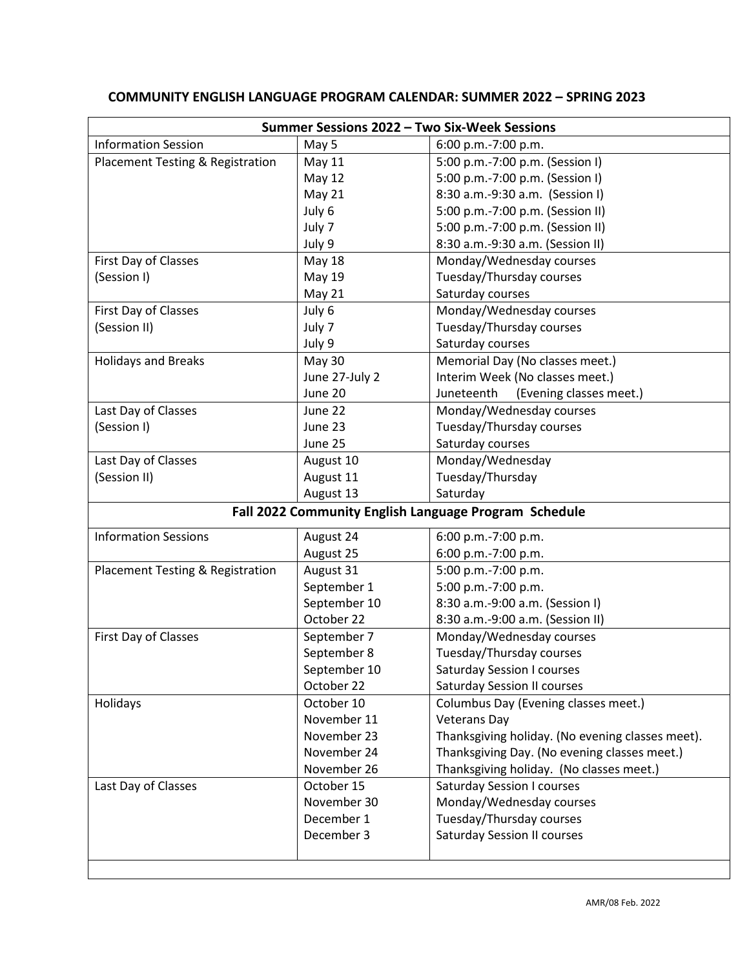| Summer Sessions 2022 - Two Six-Week Sessions          |                |                                                  |
|-------------------------------------------------------|----------------|--------------------------------------------------|
| <b>Information Session</b>                            | May 5          | 6:00 p.m.-7:00 p.m.                              |
| Placement Testing & Registration                      | <b>May 11</b>  | 5:00 p.m.-7:00 p.m. (Session I)                  |
|                                                       | <b>May 12</b>  | 5:00 p.m.-7:00 p.m. (Session I)                  |
|                                                       | May 21         | 8:30 a.m.-9:30 a.m. (Session I)                  |
|                                                       | July 6         | 5:00 p.m.-7:00 p.m. (Session II)                 |
|                                                       | July 7         | 5:00 p.m.-7:00 p.m. (Session II)                 |
|                                                       | July 9         | 8:30 a.m.-9:30 a.m. (Session II)                 |
| First Day of Classes                                  | <b>May 18</b>  | Monday/Wednesday courses                         |
| (Session I)                                           | <b>May 19</b>  | Tuesday/Thursday courses                         |
|                                                       | <b>May 21</b>  | Saturday courses                                 |
| First Day of Classes                                  | July 6         | Monday/Wednesday courses                         |
| (Session II)                                          | July 7         | Tuesday/Thursday courses                         |
|                                                       | July 9         | Saturday courses                                 |
| <b>Holidays and Breaks</b>                            | May 30         | Memorial Day (No classes meet.)                  |
|                                                       | June 27-July 2 | Interim Week (No classes meet.)                  |
|                                                       | June 20        | (Evening classes meet.)<br>Juneteenth            |
| Last Day of Classes                                   | June 22        | Monday/Wednesday courses                         |
| (Session I)                                           | June 23        | Tuesday/Thursday courses                         |
|                                                       | June 25        | Saturday courses                                 |
|                                                       |                |                                                  |
| Last Day of Classes                                   | August 10      | Monday/Wednesday                                 |
| (Session II)                                          | August 11      | Tuesday/Thursday                                 |
|                                                       | August 13      | Saturday                                         |
| Fall 2022 Community English Language Program Schedule |                |                                                  |
| <b>Information Sessions</b>                           | August 24      | 6:00 p.m.-7:00 p.m.                              |
|                                                       | August 25      | 6:00 p.m.-7:00 p.m.                              |
| Placement Testing & Registration                      | August 31      | 5:00 p.m.-7:00 p.m.                              |
|                                                       | September 1    | 5:00 p.m.-7:00 p.m.                              |
|                                                       | September 10   | 8:30 a.m.-9:00 a.m. (Session I)                  |
|                                                       | October 22     | 8:30 a.m.-9:00 a.m. (Session II)                 |
| First Day of Classes                                  | September 7    | Monday/Wednesday courses                         |
|                                                       | September 8    | Tuesday/Thursday courses                         |
|                                                       | September 10   | <b>Saturday Session I courses</b>                |
|                                                       | October 22     | <b>Saturday Session II courses</b>               |
| Holidays                                              | October 10     | Columbus Day (Evening classes meet.)             |
|                                                       | November 11    | <b>Veterans Day</b>                              |
|                                                       | November 23    | Thanksgiving holiday. (No evening classes meet). |
|                                                       | November 24    | Thanksgiving Day. (No evening classes meet.)     |
|                                                       | November 26    | Thanksgiving holiday. (No classes meet.)         |
| Last Day of Classes                                   | October 15     | <b>Saturday Session I courses</b>                |
|                                                       | November 30    | Monday/Wednesday courses                         |
|                                                       | December 1     | Tuesday/Thursday courses                         |
|                                                       | December 3     | <b>Saturday Session II courses</b>               |
|                                                       |                |                                                  |
|                                                       |                |                                                  |

## **COMMUNITY ENGLISH LANGUAGE PROGRAM CALENDAR: SUMMER 2022 – SPRING 2023**